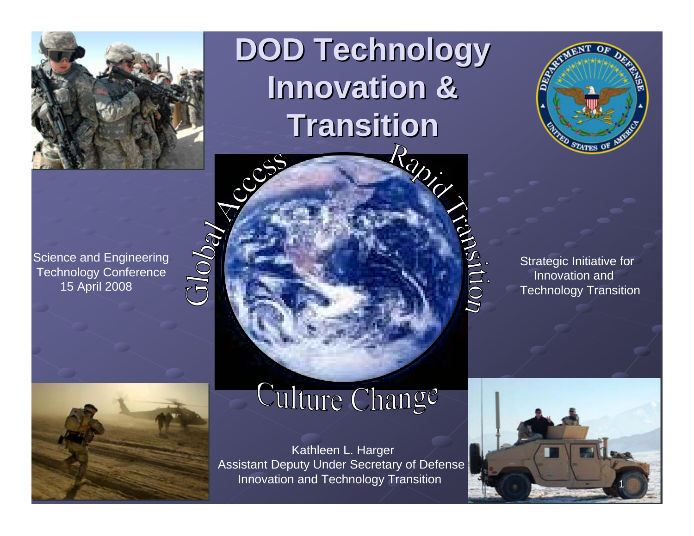

**DOD Technology DOD Technology Innovation & Transition Transition**



Strategic Initiative for Innovation andTechnology Transition

IUOII

Science and Engineering Technology Conference 15 April 2008

 $Glob_{\bf q}$ 



## Culture Change

Kathleen L. Harger Assistant Deputy Under Secretary of D efense Innovation and Technology Transition 1

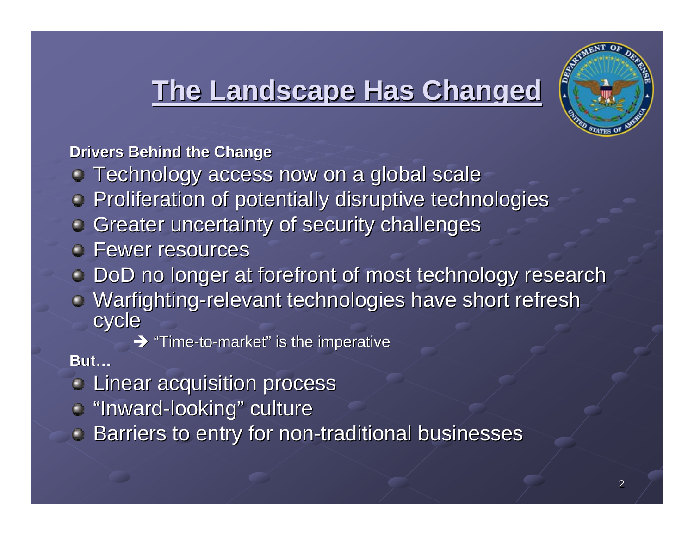### **The Landscape Has Changed The Landscape Has Changed**



**Drivers Behind the Change** 

- Technology access now on a global scale Technology access now on a global scale
- **Proliferation of potentially disruptive technologies**
- Greater uncertainty of security challenges
- Fewer resources
- DoD no longer at forefront of most technology research
- Warfighting-relevant technologies have short refresh<br>cycle
	- $\rightarrow$  "Time-to-market " is the imperative

#### **But…**

- Linear acquisition process Linear acquisition process
- "Inward-looking" culture
- Barriers to entry for non-traditional businesses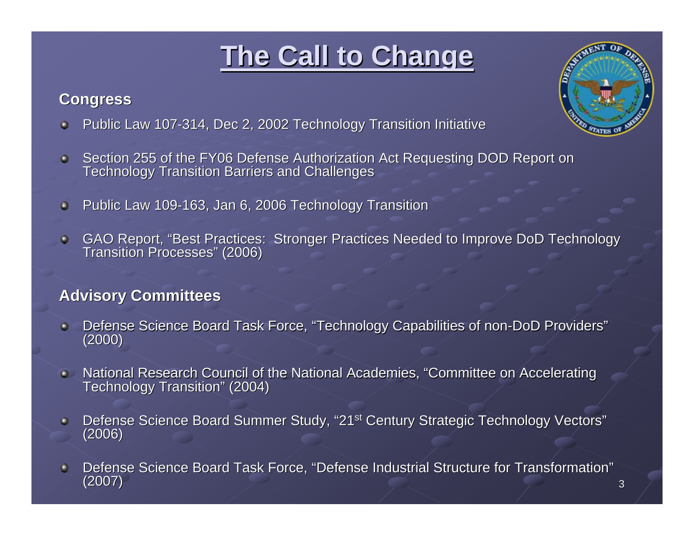## **The Call to Change The Call to Change**

#### **Congress Congress**

- Public Law 107-314, Dec 2, 2002 Technology Transition Initiative  $\bullet$
- Section 255 of the FY06 Defense Authorization Act Requesting DOD Report on Technology Transition Barriers and Challenges  $\bullet$
- Public Law 109-163, Jan 6, 2006 Technology Transition  $\bullet$
- GAO Report, "Best Practices: Stronger Practices Needed to Improve DoD Technology  $\bullet$ Transition Processes" (2006)

#### **Advisory Committees Advisory Committees**

- Defense Science Board Task Force, "Technology Capabilities of non-DoD Providers" (2000)  $\bullet$
- National Research Council of the National Academies, "Committee on Accelerating Technology Transition" (2004)  $\bullet$
- Defense Science Board Summer Study, "21<sup>st</sup> Century Strategic Technology Vectors" (2006)  $\bullet$
- Defense Science Board Task Force, "Defense Industrial Structure for Transformation" ٥ (2007) 3

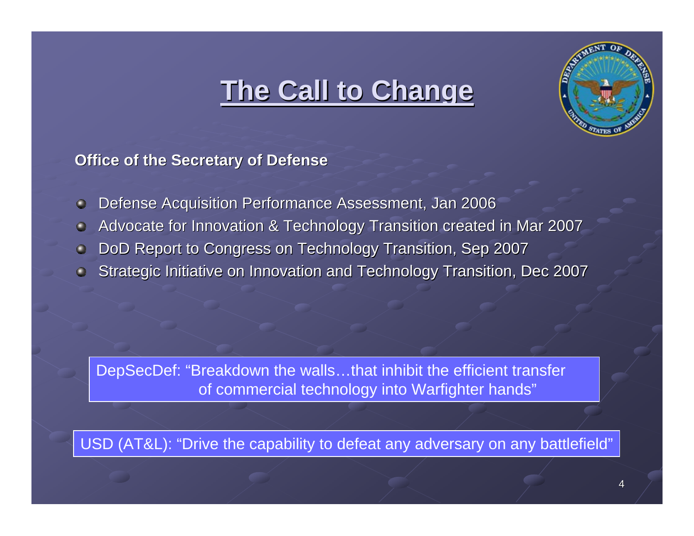### **The Call to Change The Call to Change**



#### **Office of the Secretary of Defense Office of the Secretary of Defense**

- Defense Acquisition Performance Assessment, Jan 2006  $\bullet$
- Advocate for Innovation & Technology Transition created in Mar 2007  $\bullet$
- DoD Report to Congress on Technology Transition, Sep 2007 ٥
- Strategic Initiative on Innovation and Technology Transition, Dec 2007

DepSecDef: "Breakdown the walls…that inhibit the efficient transfer of commercial technology into Warfighter hands"

USD (AT&L): "Drive the capability to defeat any adversary on any battlefield"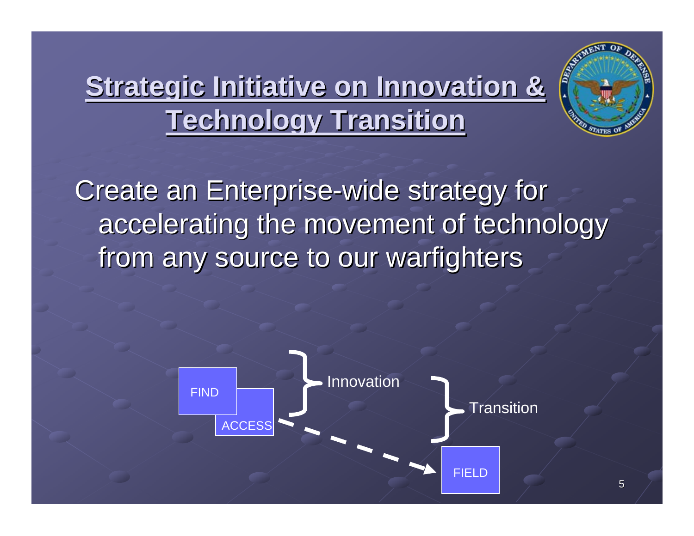# **Strategic Initiative on Innovation & Strategic Initiative on Innovation & Technology Transition Technology Transition**



Create an Enterprise-wide strategy for accelerating the movement of technology from any source to our warfighters

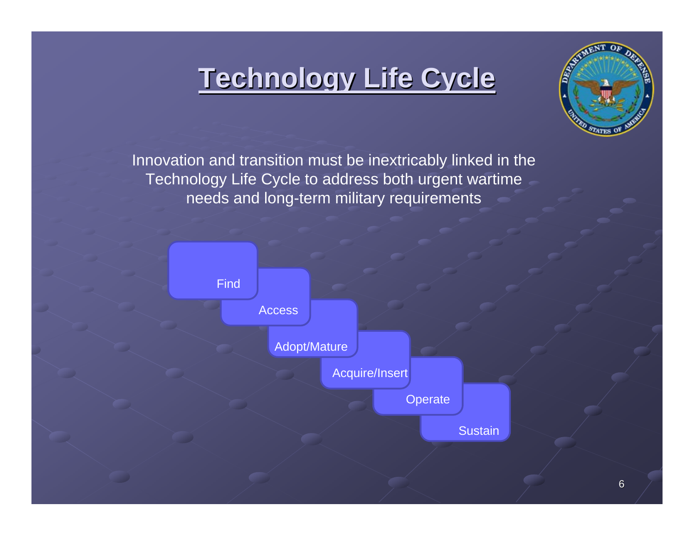### **Technology Life Cycle Technology Life Cycle**



Innovation and transition must be inextricably linked in the Technology Life Cycle to address both urgent wartime needs and long-term military requirements

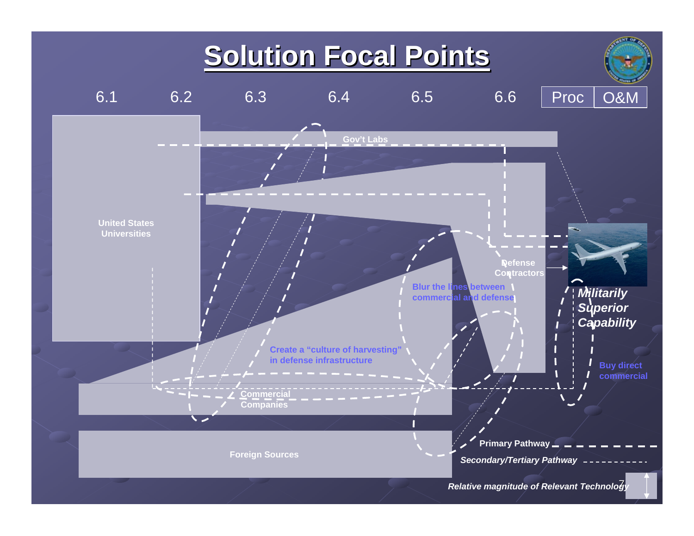### **Solution Focal Points Solution Focal Points**

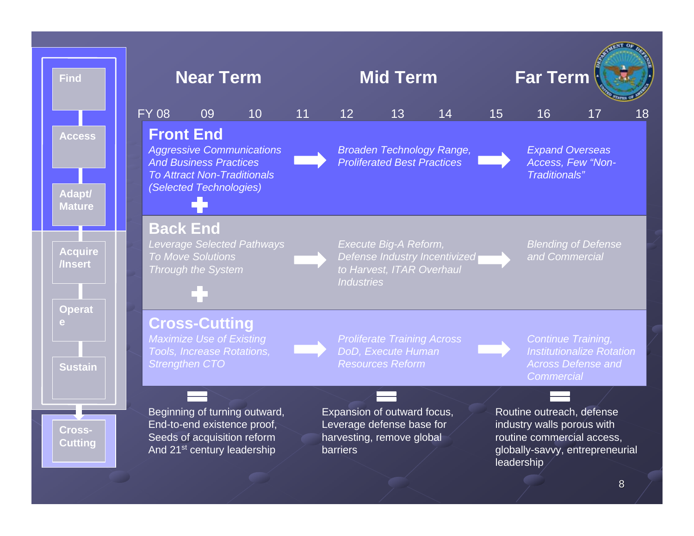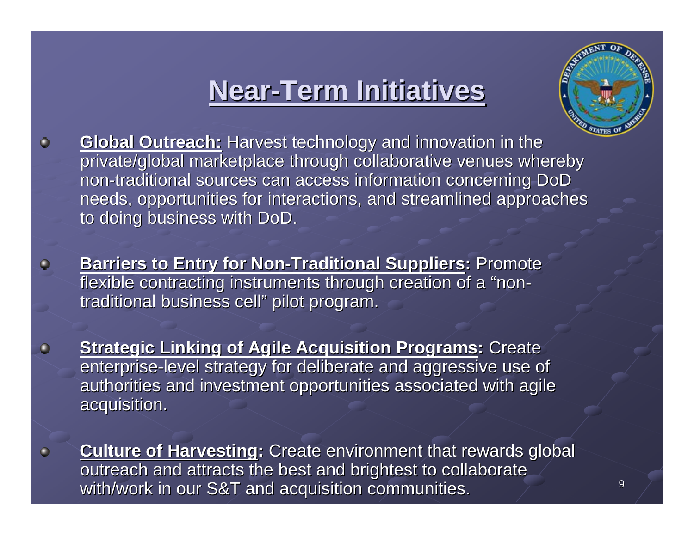### **Near-Term Initiatives Term Initiatives**



- **Global Outreach:** Harvest technology and innovation in the  $\bullet$ private/global marketplace through collaborative venues whereby non-traditional sources can access information concerning DoD needs, opportunities for interactions, and streamlined approaches to doing business with DoD.
	- **Barriers to Entry for Non-Traditional Suppliers: Promote** flexible contracting instruments through creation of a "nontraditional business cell" pilot program.

 $\bullet$ 

- **Strategic Linking of Agile Acquisition Programs: Create** enterprise-level strategy for deliberate and aggressive use of authorities and investment opportunities associated with agile acquisition. acquisition.
- **Culture of Harvesting:** Create environment that rewards global outreach and attracts the best and brightest to collaborate with/work in our S&T and with/work in our S&T and acquisition communities. acquisition communities. <sup>9</sup>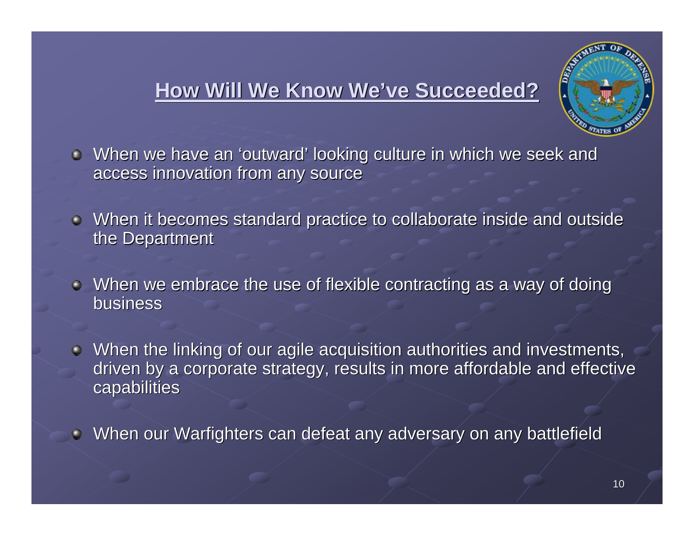### **How Will We Know We How Will We Know We've Succeeded? ve Succeeded?**



 $\bullet$  When we have an 'outward' looking culture in which we seek and access innovation from any source

- $\bullet$  When it becomes standard practice to collaborate inside and outside the Department
- $\bullet$  When we embrace the use of flexible contracting as a way of doing business
- $\blacksquare$  When the linking of our agile acquisition authorities and investments, driven by a corporate strategy, results in more affordable and effective capabilities
- When our Warfighters can defeat any adversary on any battlefield